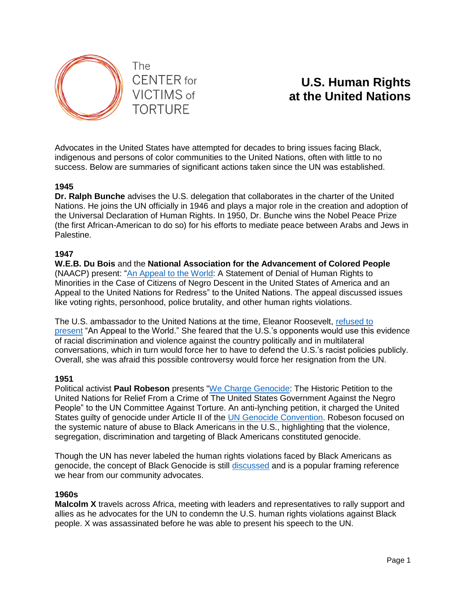

# **U.S. Human Rights at the United Nations**

Advocates in the United States have attempted for decades to bring issues facing Black, indigenous and persons of color communities to the United Nations, often with little to no success. Below are summaries of significant actions taken since the UN was established.

## **1945**

**Dr. Ralph Bunche** advises the U.S. delegation that collaborates in the charter of the United Nations. He joins the UN officially in 1946 and plays a major role in the creation and adoption of the Universal Declaration of Human Rights. In 1950, Dr. Bunche wins the Nobel Peace Prize (the first African-American to do so) for his efforts to mediate peace between Arabs and Jews in Palestine.

## **1947**

**W.E.B. Du Bois** and the **National Association for the Advancement of Colored People** (NAACP) present: ["An Appeal to the World:](https://www.aclu.org/appeal-world) A Statement of Denial of Human Rights to Minorities in the Case of Citizens of Negro Descent in the United States of America and an Appeal to the United Nations for Redress" to the United Nations. The appeal discussed issues like voting rights, personhood, police brutality, and other human rights violations.

The U.S. ambassador to the United Nations at the time, Eleanor Roosevelt, refused to [present](https://www.lib.uchicago.edu/about/news/black-history-at-the-united-nations/) "An Appeal to the World." She feared that the U.S.'s opponents would use this evidence of racial discrimination and violence against the country politically and in multilateral conversations, which in turn would force her to have to defend the U.S.'s racist policies publicly. Overall, she was afraid this possible controversy would force her resignation from the UN.

## **1951**

Political activist **Paul Robeson** presents ["We Charge Genocide:](https://www.blackpast.org/global-african-history/primary-documents-global-african-history/we-charge-genocide-historic-petition-united-nations-relief-crime-united-states-government-against/) The Historic Petition to the United Nations for Relief From a Crime of The United States Government Against the Negro People" to the UN Committee Against Torture. An anti-lynching petition, it charged the United States guilty of genocide under Article II of the [UN Genocide Convention.](https://www.un.org/en/genocideprevention/genocide-convention.shtml) Robeson focused on the systemic nature of abuse to Black Americans in the U.S., highlighting that the violence, segregation, discrimination and targeting of Black Americans constituted genocide.

Though the UN has never labeled the human rights violations faced by Black Americans as genocide, the concept of Black Genocide is still [discussed](https://www.theguardian.com/commentisfree/2019/nov/15/black-americans-genocide-open-season) and is a popular framing reference we hear from our community advocates.

#### **1960s**

**Malcolm X** travels across Africa, meeting with leaders and representatives to rally support and allies as he advocates for the UN to condemn the U.S. human rights violations against Black people. X was assassinated before he was able to present his speech to the UN.